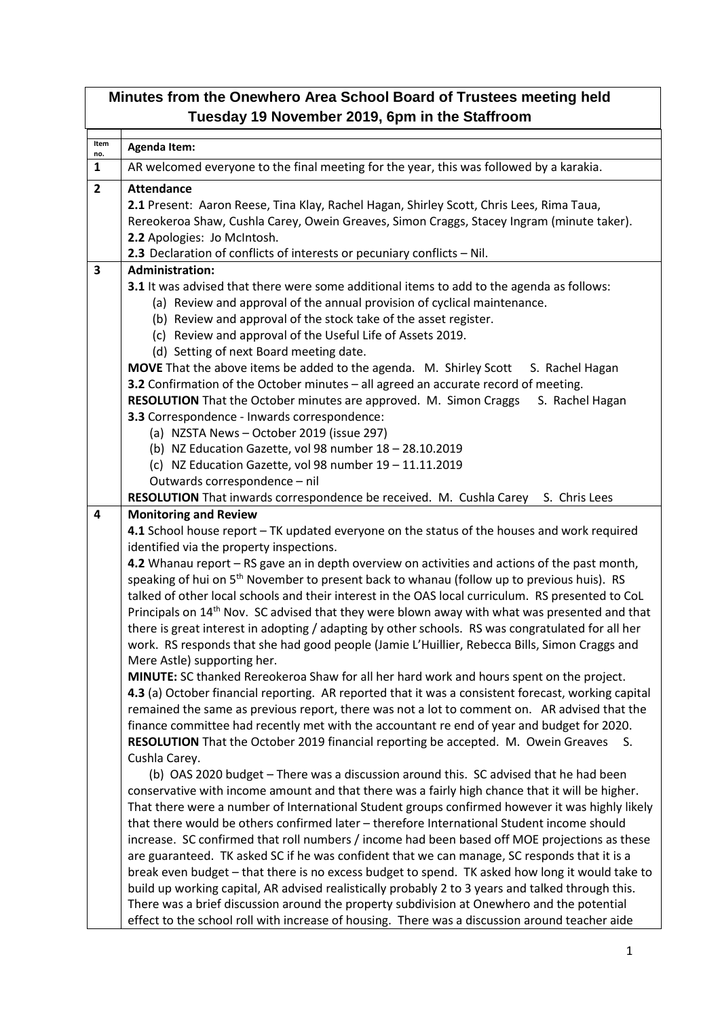| Minutes from the Onewhero Area School Board of Trustees meeting held<br>Tuesday 19 November 2019, 6pm in the Staffroom |                                                                                                                                                                                                                                                                                                                                                                                                                                                                                                                                                                                                                                                                                                                                                                                                                                                                                                                                                                                                                                                                                                                                                                                                                                                                                                                                                         |  |
|------------------------------------------------------------------------------------------------------------------------|---------------------------------------------------------------------------------------------------------------------------------------------------------------------------------------------------------------------------------------------------------------------------------------------------------------------------------------------------------------------------------------------------------------------------------------------------------------------------------------------------------------------------------------------------------------------------------------------------------------------------------------------------------------------------------------------------------------------------------------------------------------------------------------------------------------------------------------------------------------------------------------------------------------------------------------------------------------------------------------------------------------------------------------------------------------------------------------------------------------------------------------------------------------------------------------------------------------------------------------------------------------------------------------------------------------------------------------------------------|--|
| Item                                                                                                                   | <b>Agenda Item:</b>                                                                                                                                                                                                                                                                                                                                                                                                                                                                                                                                                                                                                                                                                                                                                                                                                                                                                                                                                                                                                                                                                                                                                                                                                                                                                                                                     |  |
| no.<br>$\mathbf{1}$                                                                                                    | AR welcomed everyone to the final meeting for the year, this was followed by a karakia.                                                                                                                                                                                                                                                                                                                                                                                                                                                                                                                                                                                                                                                                                                                                                                                                                                                                                                                                                                                                                                                                                                                                                                                                                                                                 |  |
| $\overline{2}$                                                                                                         | <b>Attendance</b>                                                                                                                                                                                                                                                                                                                                                                                                                                                                                                                                                                                                                                                                                                                                                                                                                                                                                                                                                                                                                                                                                                                                                                                                                                                                                                                                       |  |
|                                                                                                                        | 2.1 Present: Aaron Reese, Tina Klay, Rachel Hagan, Shirley Scott, Chris Lees, Rima Taua,<br>Rereokeroa Shaw, Cushla Carey, Owein Greaves, Simon Craggs, Stacey Ingram (minute taker).<br>2.2 Apologies: Jo McIntosh.                                                                                                                                                                                                                                                                                                                                                                                                                                                                                                                                                                                                                                                                                                                                                                                                                                                                                                                                                                                                                                                                                                                                    |  |
| $\overline{\mathbf{3}}$                                                                                                | 2.3 Declaration of conflicts of interests or pecuniary conflicts - Nil.<br><b>Administration:</b>                                                                                                                                                                                                                                                                                                                                                                                                                                                                                                                                                                                                                                                                                                                                                                                                                                                                                                                                                                                                                                                                                                                                                                                                                                                       |  |
|                                                                                                                        | 3.1 It was advised that there were some additional items to add to the agenda as follows:<br>(a) Review and approval of the annual provision of cyclical maintenance.<br>(b) Review and approval of the stock take of the asset register.<br>(c) Review and approval of the Useful Life of Assets 2019.<br>(d) Setting of next Board meeting date.                                                                                                                                                                                                                                                                                                                                                                                                                                                                                                                                                                                                                                                                                                                                                                                                                                                                                                                                                                                                      |  |
|                                                                                                                        | MOVE That the above items be added to the agenda. M. Shirley Scott<br>S. Rachel Hagan<br>3.2 Confirmation of the October minutes - all agreed an accurate record of meeting.<br>RESOLUTION That the October minutes are approved. M. Simon Craggs<br>S. Rachel Hagan<br>3.3 Correspondence - Inwards correspondence:<br>(a) NZSTA News - October 2019 (issue 297)<br>(b) NZ Education Gazette, vol 98 number 18 - 28.10.2019<br>(c) NZ Education Gazette, vol 98 number 19 - 11.11.2019<br>Outwards correspondence - nil                                                                                                                                                                                                                                                                                                                                                                                                                                                                                                                                                                                                                                                                                                                                                                                                                                |  |
|                                                                                                                        | RESOLUTION That inwards correspondence be received. M. Cushla Carey S. Chris Lees                                                                                                                                                                                                                                                                                                                                                                                                                                                                                                                                                                                                                                                                                                                                                                                                                                                                                                                                                                                                                                                                                                                                                                                                                                                                       |  |
| 4                                                                                                                      | <b>Monitoring and Review</b><br>4.1 School house report - TK updated everyone on the status of the houses and work required<br>identified via the property inspections.<br>4.2 Whanau report – RS gave an in depth overview on activities and actions of the past month,<br>speaking of hui on 5 <sup>th</sup> November to present back to whanau (follow up to previous huis). RS<br>talked of other local schools and their interest in the OAS local curriculum. RS presented to CoL<br>Principals on 14 <sup>th</sup> Nov. SC advised that they were blown away with what was presented and that<br>there is great interest in adopting / adapting by other schools. RS was congratulated for all her<br>work. RS responds that she had good people (Jamie L'Huillier, Rebecca Bills, Simon Craggs and<br>Mere Astle) supporting her.<br>MINUTE: SC thanked Rereokeroa Shaw for all her hard work and hours spent on the project.<br>4.3 (a) October financial reporting. AR reported that it was a consistent forecast, working capital<br>remained the same as previous report, there was not a lot to comment on. AR advised that the<br>finance committee had recently met with the accountant re end of year and budget for 2020.<br>RESOLUTION That the October 2019 financial reporting be accepted. M. Owein Greaves<br>S.<br>Cushla Carey. |  |
|                                                                                                                        | (b) OAS 2020 budget - There was a discussion around this. SC advised that he had been<br>conservative with income amount and that there was a fairly high chance that it will be higher.<br>That there were a number of International Student groups confirmed however it was highly likely<br>that there would be others confirmed later - therefore International Student income should<br>increase. SC confirmed that roll numbers / income had been based off MOE projections as these<br>are guaranteed. TK asked SC if he was confident that we can manage, SC responds that it is a<br>break even budget - that there is no excess budget to spend. TK asked how long it would take to<br>build up working capital, AR advised realistically probably 2 to 3 years and talked through this.<br>There was a brief discussion around the property subdivision at Onewhero and the potential<br>effect to the school roll with increase of housing. There was a discussion around teacher aide                                                                                                                                                                                                                                                                                                                                                      |  |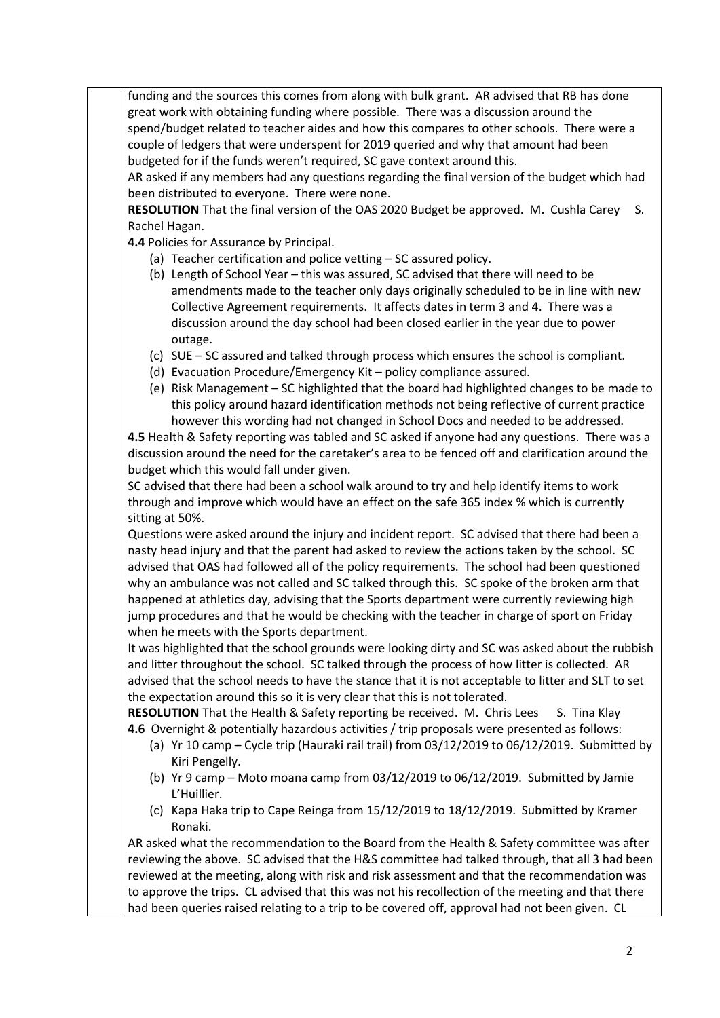funding and the sources this comes from along with bulk grant. AR advised that RB has done great work with obtaining funding where possible. There was a discussion around the spend/budget related to teacher aides and how this compares to other schools. There were a couple of ledgers that were underspent for 2019 queried and why that amount had been budgeted for if the funds weren't required, SC gave context around this.

AR asked if any members had any questions regarding the final version of the budget which had been distributed to everyone. There were none.

**RESOLUTION** That the final version of the OAS 2020 Budget be approved. M. Cushla Carey S. Rachel Hagan.

**4.4** Policies for Assurance by Principal.

- (a) Teacher certification and police vetting SC assured policy.
- (b) Length of School Year this was assured, SC advised that there will need to be amendments made to the teacher only days originally scheduled to be in line with new Collective Agreement requirements. It affects dates in term 3 and 4. There was a discussion around the day school had been closed earlier in the year due to power outage.
- (c) SUE SC assured and talked through process which ensures the school is compliant.
- (d) Evacuation Procedure/Emergency Kit policy compliance assured.
- (e) Risk Management SC highlighted that the board had highlighted changes to be made to this policy around hazard identification methods not being reflective of current practice however this wording had not changed in School Docs and needed to be addressed.

**4.5** Health & Safety reporting was tabled and SC asked if anyone had any questions. There was a discussion around the need for the caretaker's area to be fenced off and clarification around the budget which this would fall under given.

SC advised that there had been a school walk around to try and help identify items to work through and improve which would have an effect on the safe 365 index % which is currently sitting at 50%.

Questions were asked around the injury and incident report. SC advised that there had been a nasty head injury and that the parent had asked to review the actions taken by the school. SC advised that OAS had followed all of the policy requirements. The school had been questioned why an ambulance was not called and SC talked through this. SC spoke of the broken arm that happened at athletics day, advising that the Sports department were currently reviewing high jump procedures and that he would be checking with the teacher in charge of sport on Friday when he meets with the Sports department.

It was highlighted that the school grounds were looking dirty and SC was asked about the rubbish and litter throughout the school. SC talked through the process of how litter is collected. AR advised that the school needs to have the stance that it is not acceptable to litter and SLT to set the expectation around this so it is very clear that this is not tolerated.

**RESOLUTION** That the Health & Safety reporting be received. M. Chris Lees S. Tina Klay **4.6** Overnight & potentially hazardous activities / trip proposals were presented as follows:

- (a) Yr 10 camp Cycle trip (Hauraki rail trail) from 03/12/2019 to 06/12/2019. Submitted by Kiri Pengelly.
- (b) Yr 9 camp Moto moana camp from 03/12/2019 to 06/12/2019. Submitted by Jamie L'Huillier.
- (c) Kapa Haka trip to Cape Reinga from 15/12/2019 to 18/12/2019. Submitted by Kramer Ronaki.

AR asked what the recommendation to the Board from the Health & Safety committee was after reviewing the above. SC advised that the H&S committee had talked through, that all 3 had been reviewed at the meeting, along with risk and risk assessment and that the recommendation was to approve the trips. CL advised that this was not his recollection of the meeting and that there had been queries raised relating to a trip to be covered off, approval had not been given. CL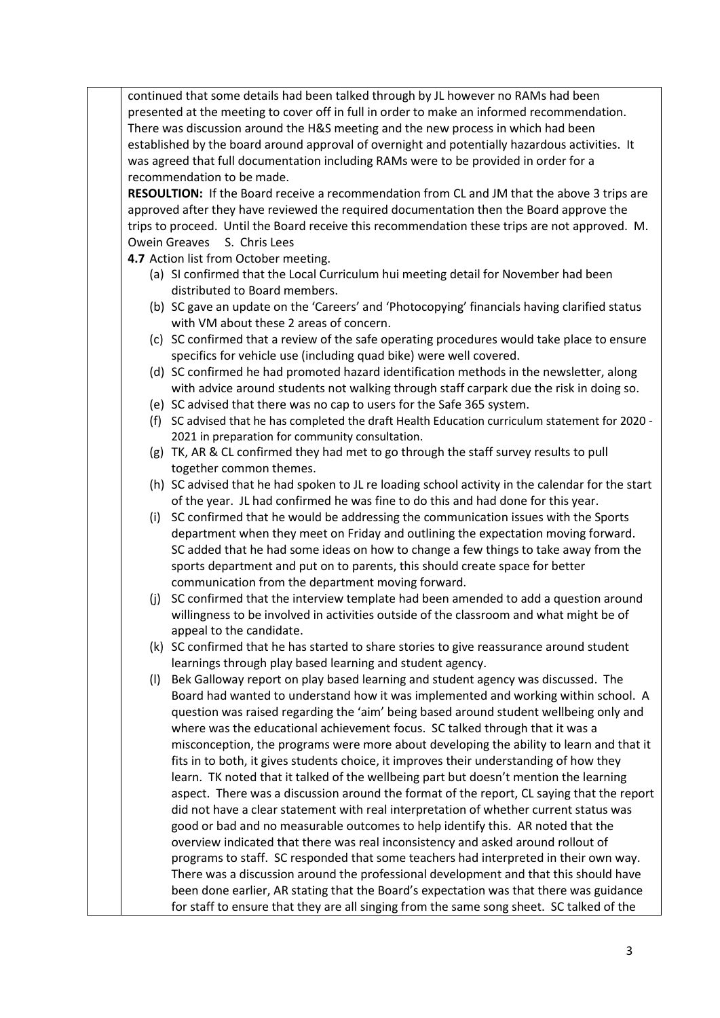continued that some details had been talked through by JL however no RAMs had been presented at the meeting to cover off in full in order to make an informed recommendation. There was discussion around the H&S meeting and the new process in which had been established by the board around approval of overnight and potentially hazardous activities. It was agreed that full documentation including RAMs were to be provided in order for a recommendation to be made.

**RESOULTION:** If the Board receive a recommendation from CL and JM that the above 3 trips are approved after they have reviewed the required documentation then the Board approve the trips to proceed. Until the Board receive this recommendation these trips are not approved. M. Owein Greaves S. Chris Lees

**4.7** Action list from October meeting.

- (a) SI confirmed that the Local Curriculum hui meeting detail for November had been distributed to Board members.
- (b) SC gave an update on the 'Careers' and 'Photocopying' financials having clarified status with VM about these 2 areas of concern.
- (c) SC confirmed that a review of the safe operating procedures would take place to ensure specifics for vehicle use (including quad bike) were well covered.
- (d) SC confirmed he had promoted hazard identification methods in the newsletter, along with advice around students not walking through staff carpark due the risk in doing so.
- (e) SC advised that there was no cap to users for the Safe 365 system.
- (f) SC advised that he has completed the draft Health Education curriculum statement for 2020 2021 in preparation for community consultation.
- (g) TK, AR & CL confirmed they had met to go through the staff survey results to pull together common themes.
- (h) SC advised that he had spoken to JL re loading school activity in the calendar for the start of the year. JL had confirmed he was fine to do this and had done for this year.
- (i) SC confirmed that he would be addressing the communication issues with the Sports department when they meet on Friday and outlining the expectation moving forward. SC added that he had some ideas on how to change a few things to take away from the sports department and put on to parents, this should create space for better communication from the department moving forward.
- (j) SC confirmed that the interview template had been amended to add a question around willingness to be involved in activities outside of the classroom and what might be of appeal to the candidate.
- (k) SC confirmed that he has started to share stories to give reassurance around student learnings through play based learning and student agency.
- (l) Bek Galloway report on play based learning and student agency was discussed. The Board had wanted to understand how it was implemented and working within school. A question was raised regarding the 'aim' being based around student wellbeing only and where was the educational achievement focus. SC talked through that it was a misconception, the programs were more about developing the ability to learn and that it fits in to both, it gives students choice, it improves their understanding of how they learn. TK noted that it talked of the wellbeing part but doesn't mention the learning aspect. There was a discussion around the format of the report, CL saying that the report did not have a clear statement with real interpretation of whether current status was good or bad and no measurable outcomes to help identify this. AR noted that the overview indicated that there was real inconsistency and asked around rollout of programs to staff. SC responded that some teachers had interpreted in their own way. There was a discussion around the professional development and that this should have been done earlier, AR stating that the Board's expectation was that there was guidance for staff to ensure that they are all singing from the same song sheet. SC talked of the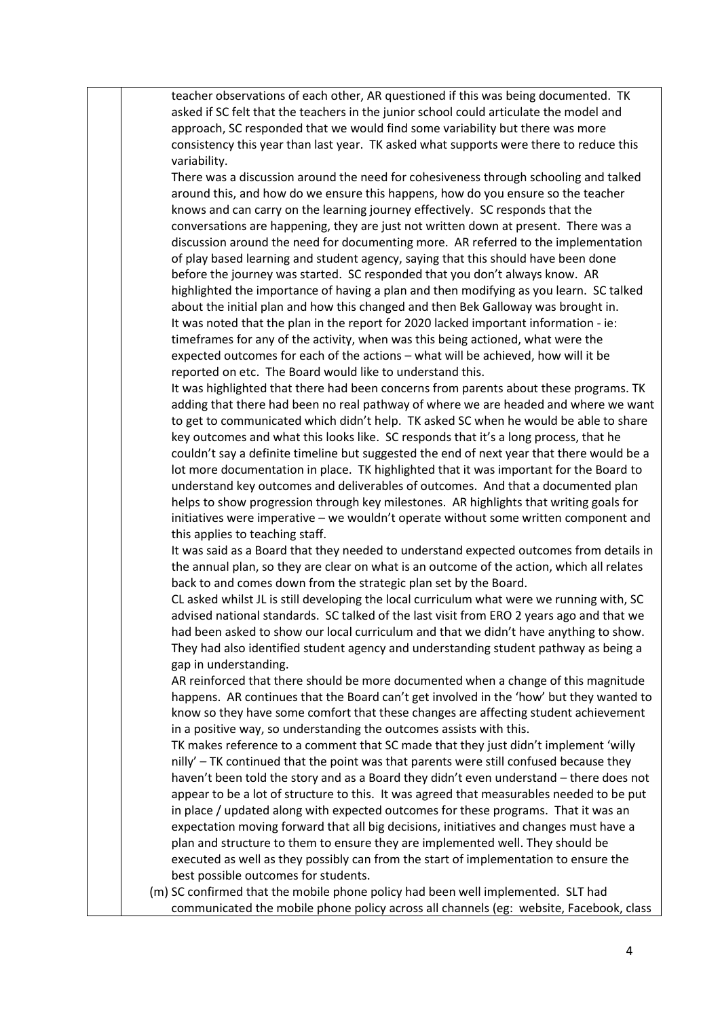teacher observations of each other, AR questioned if this was being documented. TK asked if SC felt that the teachers in the junior school could articulate the model and approach, SC responded that we would find some variability but there was more consistency this year than last year. TK asked what supports were there to reduce this variability.

There was a discussion around the need for cohesiveness through schooling and talked around this, and how do we ensure this happens, how do you ensure so the teacher knows and can carry on the learning journey effectively. SC responds that the conversations are happening, they are just not written down at present. There was a discussion around the need for documenting more. AR referred to the implementation of play based learning and student agency, saying that this should have been done before the journey was started. SC responded that you don't always know. AR highlighted the importance of having a plan and then modifying as you learn. SC talked about the initial plan and how this changed and then Bek Galloway was brought in. It was noted that the plan in the report for 2020 lacked important information - ie: timeframes for any of the activity, when was this being actioned, what were the expected outcomes for each of the actions – what will be achieved, how will it be reported on etc. The Board would like to understand this.

It was highlighted that there had been concerns from parents about these programs. TK adding that there had been no real pathway of where we are headed and where we want to get to communicated which didn't help. TK asked SC when he would be able to share key outcomes and what this looks like. SC responds that it's a long process, that he couldn't say a definite timeline but suggested the end of next year that there would be a lot more documentation in place. TK highlighted that it was important for the Board to understand key outcomes and deliverables of outcomes. And that a documented plan helps to show progression through key milestones. AR highlights that writing goals for initiatives were imperative – we wouldn't operate without some written component and this applies to teaching staff.

It was said as a Board that they needed to understand expected outcomes from details in the annual plan, so they are clear on what is an outcome of the action, which all relates back to and comes down from the strategic plan set by the Board.

CL asked whilst JL is still developing the local curriculum what were we running with, SC advised national standards. SC talked of the last visit from ERO 2 years ago and that we had been asked to show our local curriculum and that we didn't have anything to show. They had also identified student agency and understanding student pathway as being a gap in understanding.

AR reinforced that there should be more documented when a change of this magnitude happens. AR continues that the Board can't get involved in the 'how' but they wanted to know so they have some comfort that these changes are affecting student achievement in a positive way, so understanding the outcomes assists with this.

TK makes reference to a comment that SC made that they just didn't implement 'willy nilly' – TK continued that the point was that parents were still confused because they haven't been told the story and as a Board they didn't even understand – there does not appear to be a lot of structure to this. It was agreed that measurables needed to be put in place / updated along with expected outcomes for these programs. That it was an expectation moving forward that all big decisions, initiatives and changes must have a plan and structure to them to ensure they are implemented well. They should be executed as well as they possibly can from the start of implementation to ensure the best possible outcomes for students.

(m) SC confirmed that the mobile phone policy had been well implemented. SLT had communicated the mobile phone policy across all channels (eg: website, Facebook, class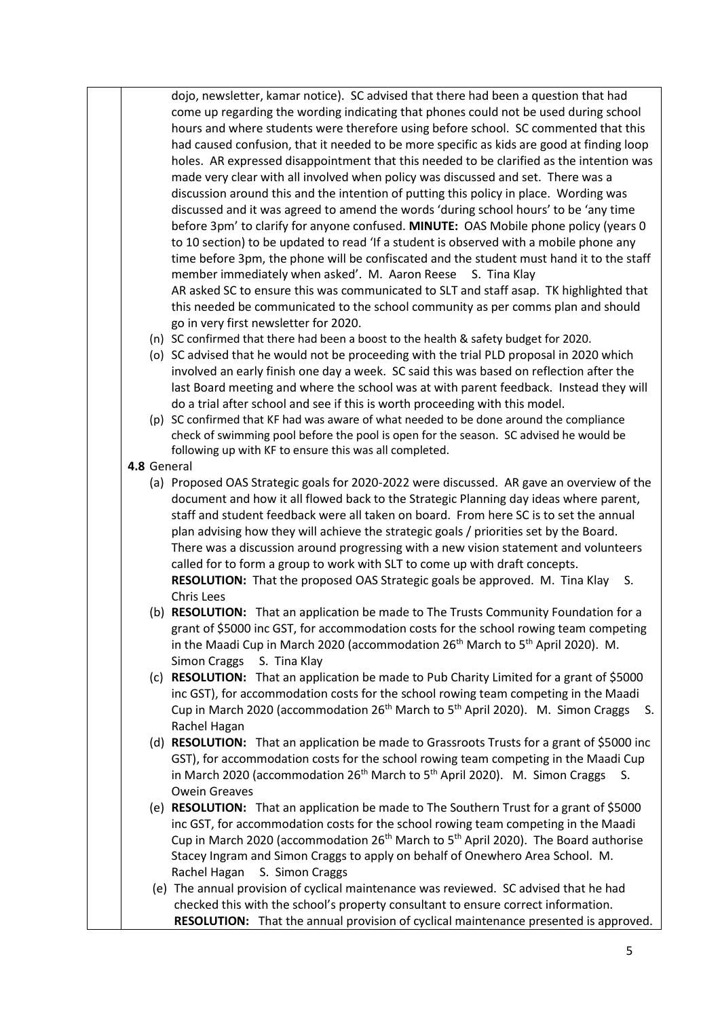dojo, newsletter, kamar notice). SC advised that there had been a question that had come up regarding the wording indicating that phones could not be used during school hours and where students were therefore using before school. SC commented that this had caused confusion, that it needed to be more specific as kids are good at finding loop holes. AR expressed disappointment that this needed to be clarified as the intention was made very clear with all involved when policy was discussed and set. There was a discussion around this and the intention of putting this policy in place. Wording was discussed and it was agreed to amend the words 'during school hours' to be 'any time before 3pm' to clarify for anyone confused. **MINUTE:** OAS Mobile phone policy (years 0 to 10 section) to be updated to read 'If a student is observed with a mobile phone any time before 3pm, the phone will be confiscated and the student must hand it to the staff member immediately when asked'. M. Aaron Reese S. Tina Klay AR asked SC to ensure this was communicated to SLT and staff asap. TK highlighted that this needed be communicated to the school community as per comms plan and should go in very first newsletter for 2020. (n) SC confirmed that there had been a boost to the health & safety budget for 2020.

- (o) SC advised that he would not be proceeding with the trial PLD proposal in 2020 which involved an early finish one day a week. SC said this was based on reflection after the last Board meeting and where the school was at with parent feedback. Instead they will do a trial after school and see if this is worth proceeding with this model.
- (p) SC confirmed that KF had was aware of what needed to be done around the compliance check of swimming pool before the pool is open for the season. SC advised he would be following up with KF to ensure this was all completed.
- **4.8** General
	- (a) Proposed OAS Strategic goals for 2020-2022 were discussed. AR gave an overview of the document and how it all flowed back to the Strategic Planning day ideas where parent, staff and student feedback were all taken on board. From here SC is to set the annual plan advising how they will achieve the strategic goals / priorities set by the Board. There was a discussion around progressing with a new vision statement and volunteers called for to form a group to work with SLT to come up with draft concepts. **RESOLUTION:** That the proposed OAS Strategic goals be approved. M. Tina Klay S. Chris Lees
	- (b) **RESOLUTION:** That an application be made to The Trusts Community Foundation for a grant of \$5000 inc GST, for accommodation costs for the school rowing team competing in the Maadi Cup in March 2020 (accommodation  $26<sup>th</sup>$  March to  $5<sup>th</sup>$  April 2020). M. Simon Craggs S. Tina Klay
	- (c) **RESOLUTION:** That an application be made to Pub Charity Limited for a grant of \$5000 inc GST), for accommodation costs for the school rowing team competing in the Maadi Cup in March 2020 (accommodation 26<sup>th</sup> March to 5<sup>th</sup> April 2020). M. Simon Craggs S. Rachel Hagan
	- (d) **RESOLUTION:** That an application be made to Grassroots Trusts for a grant of \$5000 inc GST), for accommodation costs for the school rowing team competing in the Maadi Cup in March 2020 (accommodation 26<sup>th</sup> March to 5<sup>th</sup> April 2020). M. Simon Craggs S. Owein Greaves
	- (e) **RESOLUTION:** That an application be made to The Southern Trust for a grant of \$5000 inc GST, for accommodation costs for the school rowing team competing in the Maadi Cup in March 2020 (accommodation 26th March to 5th April 2020).The Board authorise Stacey Ingram and Simon Craggs to apply on behalf of Onewhero Area School. M. Rachel Hagan S. Simon Craggs
	- (e) The annual provision of cyclical maintenance was reviewed. SC advised that he had checked this with the school's property consultant to ensure correct information. **RESOLUTION:** That the annual provision of cyclical maintenance presented is approved.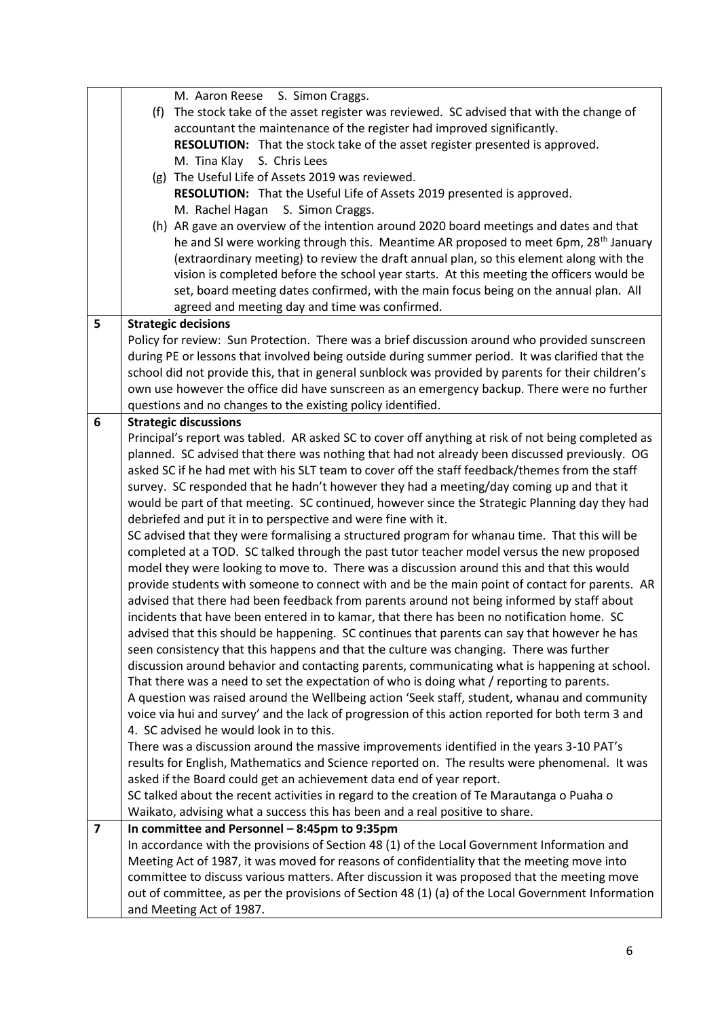|                         | M. Aaron Reese S. Simon Craggs.                                                                                                                                                            |
|-------------------------|--------------------------------------------------------------------------------------------------------------------------------------------------------------------------------------------|
|                         | (f) The stock take of the asset register was reviewed. SC advised that with the change of                                                                                                  |
|                         | accountant the maintenance of the register had improved significantly.                                                                                                                     |
|                         | RESOLUTION: That the stock take of the asset register presented is approved.                                                                                                               |
|                         | M. Tina Klay<br>S. Chris Lees                                                                                                                                                              |
|                         | (g) The Useful Life of Assets 2019 was reviewed.                                                                                                                                           |
|                         | RESOLUTION: That the Useful Life of Assets 2019 presented is approved.                                                                                                                     |
|                         | M. Rachel Hagan S. Simon Craggs.                                                                                                                                                           |
|                         | (h) AR gave an overview of the intention around 2020 board meetings and dates and that                                                                                                     |
|                         | he and SI were working through this. Meantime AR proposed to meet 6pm, 28 <sup>th</sup> January                                                                                            |
|                         | (extraordinary meeting) to review the draft annual plan, so this element along with the                                                                                                    |
|                         | vision is completed before the school year starts. At this meeting the officers would be                                                                                                   |
|                         | set, board meeting dates confirmed, with the main focus being on the annual plan. All                                                                                                      |
|                         | agreed and meeting day and time was confirmed.                                                                                                                                             |
| 5                       | <b>Strategic decisions</b>                                                                                                                                                                 |
|                         | Policy for review: Sun Protection. There was a brief discussion around who provided sunscreen                                                                                              |
|                         | during PE or lessons that involved being outside during summer period. It was clarified that the                                                                                           |
|                         | school did not provide this, that in general sunblock was provided by parents for their children's                                                                                         |
|                         | own use however the office did have sunscreen as an emergency backup. There were no further                                                                                                |
|                         | questions and no changes to the existing policy identified.                                                                                                                                |
| 6                       | <b>Strategic discussions</b>                                                                                                                                                               |
|                         | Principal's report was tabled. AR asked SC to cover off anything at risk of not being completed as                                                                                         |
|                         | planned. SC advised that there was nothing that had not already been discussed previously. OG                                                                                              |
|                         | asked SC if he had met with his SLT team to cover off the staff feedback/themes from the staff<br>survey. SC responded that he hadn't however they had a meeting/day coming up and that it |
|                         | would be part of that meeting. SC continued, however since the Strategic Planning day they had                                                                                             |
|                         | debriefed and put it in to perspective and were fine with it.                                                                                                                              |
|                         | SC advised that they were formalising a structured program for whanau time. That this will be                                                                                              |
|                         | completed at a TOD. SC talked through the past tutor teacher model versus the new proposed                                                                                                 |
|                         | model they were looking to move to. There was a discussion around this and that this would                                                                                                 |
|                         | provide students with someone to connect with and be the main point of contact for parents. AR                                                                                             |
|                         | advised that there had been feedback from parents around not being informed by staff about                                                                                                 |
|                         | incidents that have been entered in to kamar, that there has been no notification home. SC                                                                                                 |
|                         | advised that this should be happening. SC continues that parents can say that however he has                                                                                               |
|                         | seen consistency that this happens and that the culture was changing. There was further                                                                                                    |
|                         | discussion around behavior and contacting parents, communicating what is happening at school.                                                                                              |
|                         | That there was a need to set the expectation of who is doing what / reporting to parents.                                                                                                  |
|                         | A question was raised around the Wellbeing action 'Seek staff, student, whanau and community                                                                                               |
|                         | voice via hui and survey' and the lack of progression of this action reported for both term 3 and                                                                                          |
|                         | 4. SC advised he would look in to this.                                                                                                                                                    |
|                         | There was a discussion around the massive improvements identified in the years 3-10 PAT's                                                                                                  |
|                         | results for English, Mathematics and Science reported on. The results were phenomenal. It was                                                                                              |
|                         | asked if the Board could get an achievement data end of year report.                                                                                                                       |
|                         | SC talked about the recent activities in regard to the creation of Te Marautanga o Puaha o                                                                                                 |
|                         | Waikato, advising what a success this has been and a real positive to share.                                                                                                               |
| $\overline{\mathbf{z}}$ | In committee and Personnel - 8:45pm to 9:35pm                                                                                                                                              |
|                         | In accordance with the provisions of Section 48 (1) of the Local Government Information and                                                                                                |
|                         | Meeting Act of 1987, it was moved for reasons of confidentiality that the meeting move into                                                                                                |
|                         | committee to discuss various matters. After discussion it was proposed that the meeting move                                                                                               |
|                         | out of committee, as per the provisions of Section 48 (1) (a) of the Local Government Information                                                                                          |
|                         | and Meeting Act of 1987.                                                                                                                                                                   |